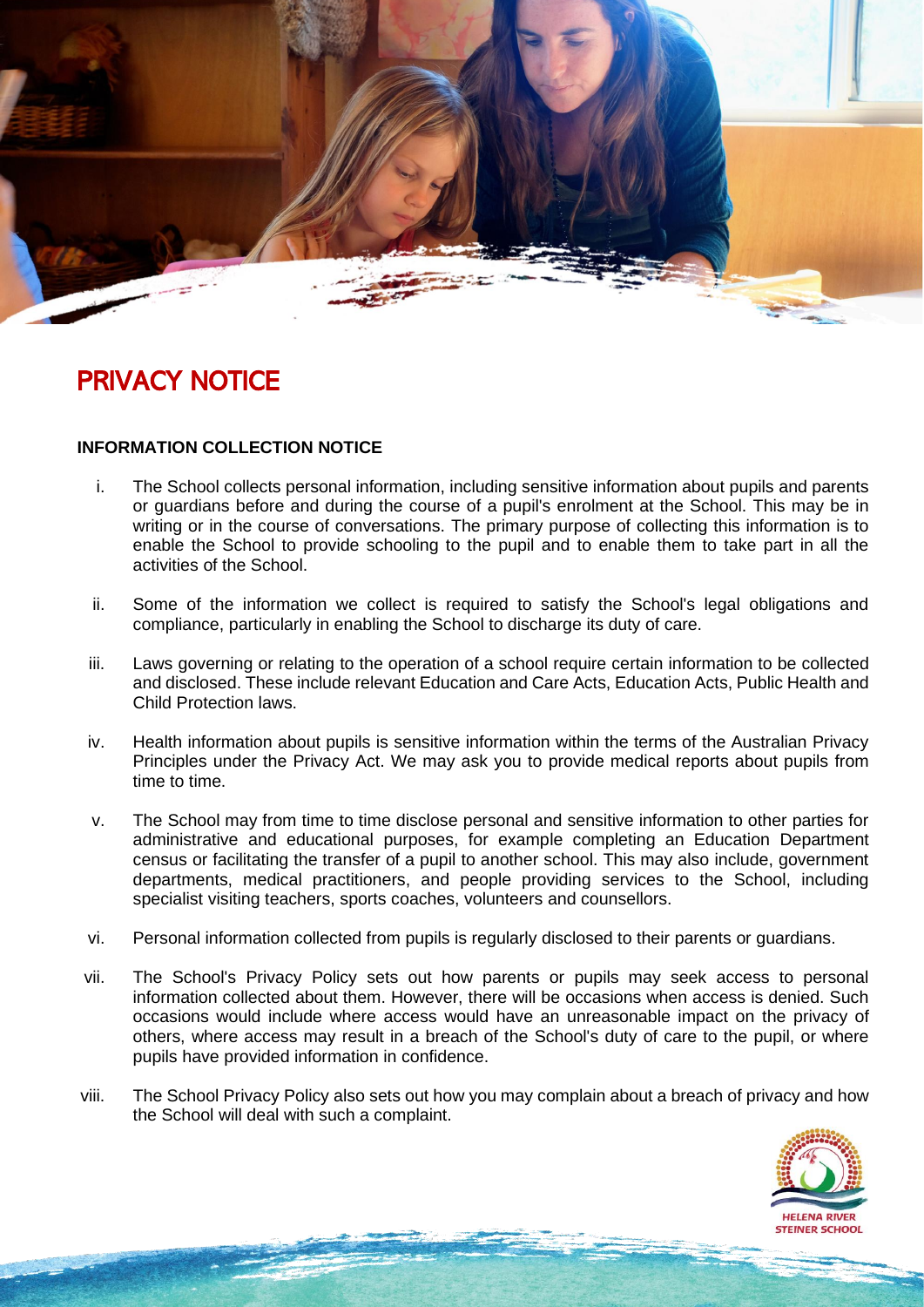

## PRIVACY NOTICE

## **INFORMATION COLLECTION NOTICE**

- i. The School collects personal information, including sensitive information about pupils and parents or guardians before and during the course of a pupil's enrolment at the School. This may be in writing or in the course of conversations. The primary purpose of collecting this information is to enable the School to provide schooling to the pupil and to enable them to take part in all the activities of the School.
- ii. Some of the information we collect is required to satisfy the School's legal obligations and compliance, particularly in enabling the School to discharge its duty of care.
- iii. Laws governing or relating to the operation of a school require certain information to be collected and disclosed. These include relevant Education and Care Acts, Education Acts, Public Health and Child Protection laws.
- iv. Health information about pupils is sensitive information within the terms of the Australian Privacy Principles under the Privacy Act. We may ask you to provide medical reports about pupils from time to time.
- v. The School may from time to time disclose personal and sensitive information to other parties for administrative and educational purposes, for example completing an Education Department census or facilitating the transfer of a pupil to another school. This may also include, government departments, medical practitioners, and people providing services to the School, including specialist visiting teachers, sports coaches, volunteers and counsellors.
- vi. Personal information collected from pupils is regularly disclosed to their parents or guardians.
- vii. The School's Privacy Policy sets out how parents or pupils may seek access to personal information collected about them. However, there will be occasions when access is denied. Such occasions would include where access would have an unreasonable impact on the privacy of others, where access may result in a breach of the School's duty of care to the pupil, or where pupils have provided information in confidence.
- viii. The School Privacy Policy also sets out how you may complain about a breach of privacy and how the School will deal with such a complaint.